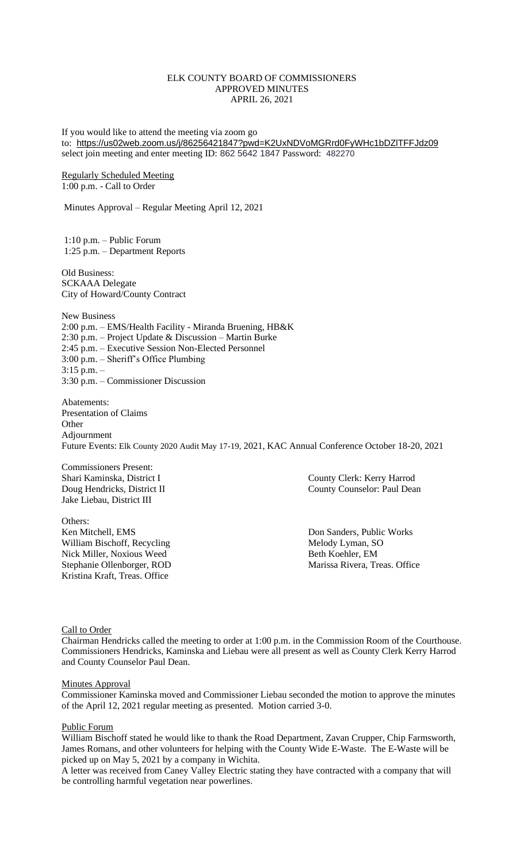# ELK COUNTY BOARD OF COMMISSIONERS APPROVED MINUTES APRIL 26, 2021

If you would like to attend the meeting via zoom go to: <https://us02web.zoom.us/j/86256421847?pwd=K2UxNDVoMGRrd0FyWHc1bDZlTFFJdz09> select join meeting and enter meeting ID: 862 5642 1847 Password: 482270

Regularly Scheduled Meeting 1:00 p.m. - Call to Order

Minutes Approval – Regular Meeting April 12, 2021

1:10 p.m. – Public Forum 1:25 p.m. – Department Reports

Old Business: SCKAAA Delegate City of Howard/County Contract

New Business 2:00 p.m. – EMS/Health Facility - Miranda Bruening, HB&K 2:30 p.m. – Project Update & Discussion – Martin Burke 2:45 p.m. – Executive Session Non-Elected Personnel 3:00 p.m. – Sheriff's Office Plumbing 3:15 p.m. – 3:30 p.m. – Commissioner Discussion

Abatements: Presentation of Claims **Other** Adjournment Future Events: Elk County 2020 Audit May 17-19, 2021, KAC Annual Conference October 18-20, 2021

Commissioners Present: Jake Liebau, District III

Others: Ken Mitchell, EMS **EXECUTE:** Networks and Don Sanders, Public Works William Bischoff, Recycling Melody Lyman, SO Nick Miller, Noxious Weed Beth Koehler, EM Kristina Kraft, Treas. Office

Shari Kaminska, District I County Clerk: Kerry Harrod Doug Hendricks, District II County Counselor: Paul Dean

Stephanie Ollenborger, ROD Marissa Rivera, Treas. Office

Call to Order

Chairman Hendricks called the meeting to order at 1:00 p.m. in the Commission Room of the Courthouse. Commissioners Hendricks, Kaminska and Liebau were all present as well as County Clerk Kerry Harrod and County Counselor Paul Dean.

#### Minutes Approval

Commissioner Kaminska moved and Commissioner Liebau seconded the motion to approve the minutes of the April 12, 2021 regular meeting as presented. Motion carried 3-0.

#### Public Forum

William Bischoff stated he would like to thank the Road Department, Zavan Crupper, Chip Farmsworth, James Romans, and other volunteers for helping with the County Wide E-Waste. The E-Waste will be picked up on May 5, 2021 by a company in Wichita.

A letter was received from Caney Valley Electric stating they have contracted with a company that will be controlling harmful vegetation near powerlines.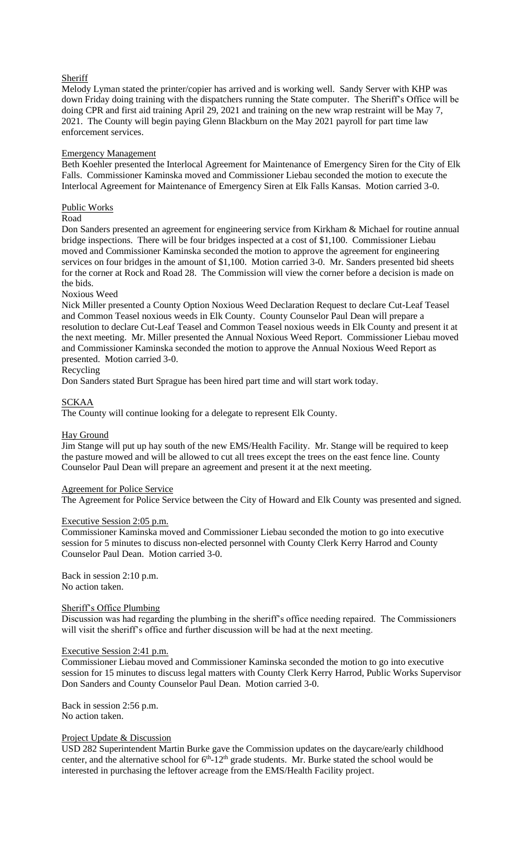# **Sheriff**

Melody Lyman stated the printer/copier has arrived and is working well. Sandy Server with KHP was down Friday doing training with the dispatchers running the State computer. The Sheriff's Office will be doing CPR and first aid training April 29, 2021 and training on the new wrap restraint will be May 7, 2021. The County will begin paying Glenn Blackburn on the May 2021 payroll for part time law enforcement services.

# Emergency Management

Beth Koehler presented the Interlocal Agreement for Maintenance of Emergency Siren for the City of Elk Falls. Commissioner Kaminska moved and Commissioner Liebau seconded the motion to execute the Interlocal Agreement for Maintenance of Emergency Siren at Elk Falls Kansas. Motion carried 3-0.

# Public Works

# Road

Don Sanders presented an agreement for engineering service from Kirkham & Michael for routine annual bridge inspections. There will be four bridges inspected at a cost of \$1,100. Commissioner Liebau moved and Commissioner Kaminska seconded the motion to approve the agreement for engineering services on four bridges in the amount of \$1,100. Motion carried 3-0. Mr. Sanders presented bid sheets for the corner at Rock and Road 28. The Commission will view the corner before a decision is made on the bids.

# Noxious Weed

Nick Miller presented a County Option Noxious Weed Declaration Request to declare Cut-Leaf Teasel and Common Teasel noxious weeds in Elk County. County Counselor Paul Dean will prepare a resolution to declare Cut-Leaf Teasel and Common Teasel noxious weeds in Elk County and present it at the next meeting. Mr. Miller presented the Annual Noxious Weed Report. Commissioner Liebau moved and Commissioner Kaminska seconded the motion to approve the Annual Noxious Weed Report as presented. Motion carried 3-0.

#### Recycling

Don Sanders stated Burt Sprague has been hired part time and will start work today.

# SCKAA

The County will continue looking for a delegate to represent Elk County.

# Hay Ground

Jim Stange will put up hay south of the new EMS/Health Facility. Mr. Stange will be required to keep the pasture mowed and will be allowed to cut all trees except the trees on the east fence line. County Counselor Paul Dean will prepare an agreement and present it at the next meeting.

# **Agreement for Police Service**

The Agreement for Police Service between the City of Howard and Elk County was presented and signed.

#### Executive Session 2:05 p.m.

Commissioner Kaminska moved and Commissioner Liebau seconded the motion to go into executive session for 5 minutes to discuss non-elected personnel with County Clerk Kerry Harrod and County Counselor Paul Dean. Motion carried 3-0.

Back in session 2:10 p.m. No action taken.

#### Sheriff's Office Plumbing

Discussion was had regarding the plumbing in the sheriff's office needing repaired. The Commissioners will visit the sheriff's office and further discussion will be had at the next meeting.

#### Executive Session 2:41 p.m.

Commissioner Liebau moved and Commissioner Kaminska seconded the motion to go into executive session for 15 minutes to discuss legal matters with County Clerk Kerry Harrod, Public Works Supervisor Don Sanders and County Counselor Paul Dean. Motion carried 3-0.

Back in session 2:56 p.m. No action taken.

#### Project Update & Discussion

USD 282 Superintendent Martin Burke gave the Commission updates on the daycare/early childhood center, and the alternative school for  $6<sup>th</sup>$ -12<sup>th</sup> grade students. Mr. Burke stated the school would be interested in purchasing the leftover acreage from the EMS/Health Facility project.